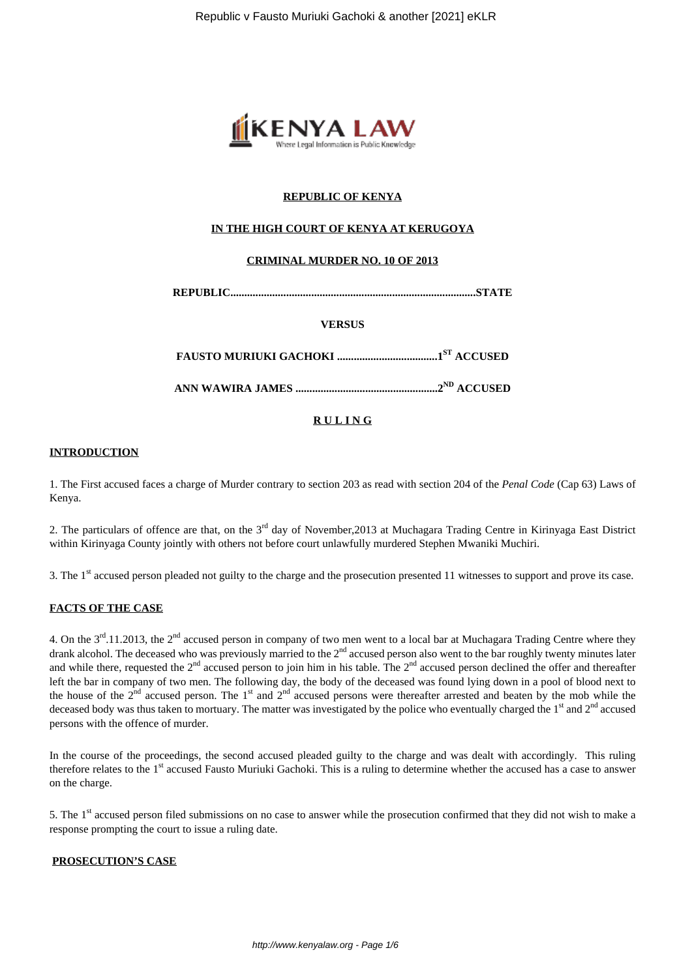

# **REPUBLIC OF KENYA**

# **IN THE HIGH COURT OF KENYA AT KERUGOYA**

# **CRIMINAL MURDER NO. 10 OF 2013**

**REPUBLIC........................................................................................STATE**

# **VERSUS**

**FAUSTO MURIUKI GACHOKI ....................................1ST ACCUSED**

**ANN WAWIRA JAMES ...................................................2ND ACCUSED**

# **R U L I N G**

#### **INTRODUCTION**

1. The First accused faces a charge of Murder contrary to section 203 as read with section 204 of the *Penal Code* (Cap 63) Laws of Kenya.

2. The particulars of offence are that, on the  $3<sup>rd</sup>$  day of November, 2013 at Muchagara Trading Centre in Kirinyaga East District within Kirinyaga County jointly with others not before court unlawfully murdered Stephen Mwaniki Muchiri.

3. The 1<sup>st</sup> accused person pleaded not guilty to the charge and the prosecution presented 11 witnesses to support and prove its case.

# **FACTS OF THE CASE**

4. On the  $3^{rd}$ .11.2013, the  $2^{nd}$  accused person in company of two men went to a local bar at Muchagara Trading Centre where they drank alcohol. The deceased who was previously married to the  $2<sup>nd</sup>$  accused person also went to the bar roughly twenty minutes later and while there, requested the  $2<sup>nd</sup>$  accused person to join him in his table. The  $2<sup>nd</sup>$  accused person declined the offer and thereafter left the bar in company of two men. The following day, the body of the deceased was found lying down in a pool of blood next to the house of the  $2<sup>nd</sup>$  accused person. The 1<sup>st</sup> and  $2<sup>nd</sup>$  accused persons were thereafter arrested and beaten by the mob while the deceased body was thus taken to mortuary. The matter was investigated by the police who eventually charged the  $1<sup>st</sup>$  and  $2<sup>nd</sup>$  accused persons with the offence of murder.

In the course of the proceedings, the second accused pleaded guilty to the charge and was dealt with accordingly. This ruling therefore relates to the 1<sup>st</sup> accused Fausto Muriuki Gachoki. This is a ruling to determine whether the accused has a case to answer on the charge.

5. The 1st accused person filed submissions on no case to answer while the prosecution confirmed that they did not wish to make a response prompting the court to issue a ruling date.

# **PROSECUTION'S CASE**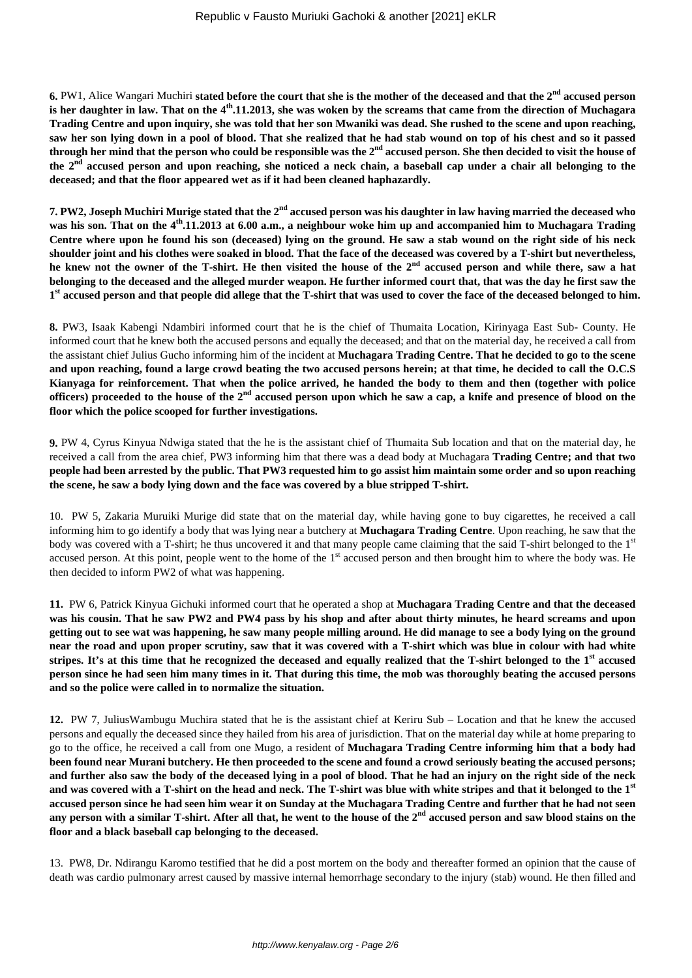**6.** PW1, Alice Wangari Muchiri **stated before the court that she is the mother of the deceased and that the 2nd accused person is her daughter in law. That on the 4th.11.2013, she was woken by the screams that came from the direction of Muchagara Trading Centre and upon inquiry, she was told that her son Mwaniki was dead. She rushed to the scene and upon reaching, saw her son lying down in a pool of blood. That she realized that he had stab wound on top of his chest and so it passed through her mind that the person who could be responsible was the 2nd accused person. She then decided to visit the house of the 2nd accused person and upon reaching, she noticed a neck chain, a baseball cap under a chair all belonging to the deceased; and that the floor appeared wet as if it had been cleaned haphazardly.**

**7. PW2, Joseph Muchiri Murige stated that the 2nd accused person was his daughter in law having married the deceased who was his son. That on the 4th.11.2013 at 6.00 a.m., a neighbour woke him up and accompanied him to Muchagara Trading Centre where upon he found his son (deceased) lying on the ground. He saw a stab wound on the right side of his neck shoulder joint and his clothes were soaked in blood. That the face of the deceased was covered by a T-shirt but nevertheless, he knew not the owner of the T-shirt. He then visited the house of the 2nd accused person and while there, saw a hat belonging to the deceased and the alleged murder weapon. He further informed court that, that was the day he first saw the 1 st accused person and that people did allege that the T-shirt that was used to cover the face of the deceased belonged to him.**

**8.** PW3, Isaak Kabengi Ndambiri informed court that he is the chief of Thumaita Location, Kirinyaga East Sub- County. He informed court that he knew both the accused persons and equally the deceased; and that on the material day, he received a call from the assistant chief Julius Gucho informing him of the incident at **Muchagara Trading Centre. That he decided to go to the scene and upon reaching, found a large crowd beating the two accused persons herein; at that time, he decided to call the O.C.S Kianyaga for reinforcement. That when the police arrived, he handed the body to them and then (together with police officers) proceeded to the house of the 2nd accused person upon which he saw a cap, a knife and presence of blood on the floor which the police scooped for further investigations.**

**9.** PW 4, Cyrus Kinyua Ndwiga stated that the he is the assistant chief of Thumaita Sub location and that on the material day, he received a call from the area chief, PW3 informing him that there was a dead body at Muchagara **Trading Centre; and that two people had been arrested by the public. That PW3 requested him to go assist him maintain some order and so upon reaching the scene, he saw a body lying down and the face was covered by a blue stripped T-shirt.**

10. PW 5, Zakaria Muruiki Murige did state that on the material day, while having gone to buy cigarettes, he received a call informing him to go identify a body that was lying near a butchery at **Muchagara Trading Centre**. Upon reaching, he saw that the body was covered with a T-shirt; he thus uncovered it and that many people came claiming that the said T-shirt belonged to the 1st accused person. At this point, people went to the home of the  $1<sup>st</sup>$  accused person and then brought him to where the body was. He then decided to inform PW2 of what was happening.

**11.** PW 6, Patrick Kinyua Gichuki informed court that he operated a shop at **Muchagara Trading Centre and that the deceased was his cousin. That he saw PW2 and PW4 pass by his shop and after about thirty minutes, he heard screams and upon getting out to see wat was happening, he saw many people milling around. He did manage to see a body lying on the ground near the road and upon proper scrutiny, saw that it was covered with a T-shirt which was blue in colour with had white stripes. It's at this time that he recognized the deceased and equally realized that the T-shirt belonged to the 1st accused person since he had seen him many times in it. That during this time, the mob was thoroughly beating the accused persons and so the police were called in to normalize the situation.**

**12.** PW 7, JuliusWambugu Muchira stated that he is the assistant chief at Keriru Sub – Location and that he knew the accused persons and equally the deceased since they hailed from his area of jurisdiction. That on the material day while at home preparing to go to the office, he received a call from one Mugo, a resident of **Muchagara Trading Centre informing him that a body had been found near Murani butchery. He then proceeded to the scene and found a crowd seriously beating the accused persons; and further also saw the body of the deceased lying in a pool of blood. That he had an injury on the right side of the neck and was covered with a T-shirt on the head and neck. The T-shirt was blue with white stripes and that it belonged to the 1st accused person since he had seen him wear it on Sunday at the Muchagara Trading Centre and further that he had not seen any person with a similar T-shirt. After all that, he went to the house of the 2nd accused person and saw blood stains on the floor and a black baseball cap belonging to the deceased.**

13. PW8, Dr. Ndirangu Karomo testified that he did a post mortem on the body and thereafter formed an opinion that the cause of death was cardio pulmonary arrest caused by massive internal hemorrhage secondary to the injury (stab) wound. He then filled and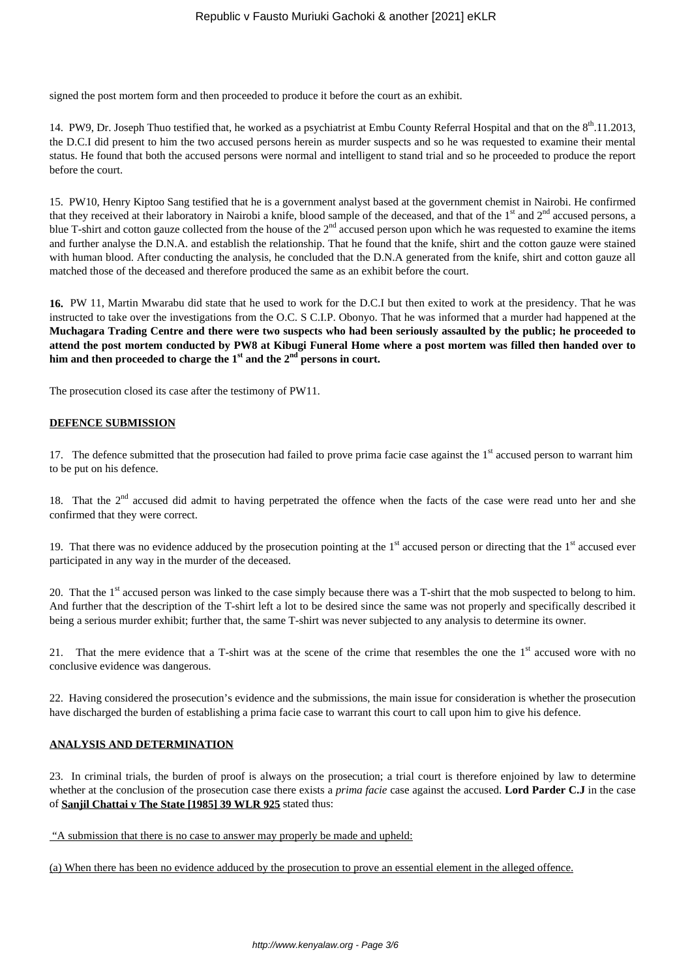signed the post mortem form and then proceeded to produce it before the court as an exhibit.

14. PW9, Dr. Joseph Thuo testified that, he worked as a psychiatrist at Embu County Referral Hospital and that on the 8<sup>th</sup>.11.2013, the D.C.I did present to him the two accused persons herein as murder suspects and so he was requested to examine their mental status. He found that both the accused persons were normal and intelligent to stand trial and so he proceeded to produce the report before the court.

15. PW10, Henry Kiptoo Sang testified that he is a government analyst based at the government chemist in Nairobi. He confirmed that they received at their laboratory in Nairobi a knife, blood sample of the deceased, and that of the  $1<sup>st</sup>$  and  $2<sup>nd</sup>$  accused persons, a blue T-shirt and cotton gauze collected from the house of the  $2<sup>nd</sup>$  accused person upon which he was requested to examine the items and further analyse the D.N.A. and establish the relationship. That he found that the knife, shirt and the cotton gauze were stained with human blood. After conducting the analysis, he concluded that the D.N.A generated from the knife, shirt and cotton gauze all matched those of the deceased and therefore produced the same as an exhibit before the court.

**16.** PW 11, Martin Mwarabu did state that he used to work for the D.C.I but then exited to work at the presidency. That he was instructed to take over the investigations from the O.C. S C.I.P. Obonyo. That he was informed that a murder had happened at the **Muchagara Trading Centre and there were two suspects who had been seriously assaulted by the public; he proceeded to attend the post mortem conducted by PW8 at Kibugi Funeral Home where a post mortem was filled then handed over to him and then proceeded to charge the 1st and the 2nd persons in court.**

The prosecution closed its case after the testimony of PW11.

#### **DEFENCE SUBMISSION**

17. The defence submitted that the prosecution had failed to prove prima facie case against the  $1<sup>st</sup>$  accused person to warrant him to be put on his defence.

18. That the  $2<sup>nd</sup>$  accused did admit to having perpetrated the offence when the facts of the case were read unto her and she confirmed that they were correct.

19. That there was no evidence adduced by the prosecution pointing at the  $1<sup>st</sup>$  accused person or directing that the  $1<sup>st</sup>$  accused ever participated in any way in the murder of the deceased.

20. That the  $1<sup>st</sup>$  accused person was linked to the case simply because there was a T-shirt that the mob suspected to belong to him. And further that the description of the T-shirt left a lot to be desired since the same was not properly and specifically described it being a serious murder exhibit; further that, the same T-shirt was never subjected to any analysis to determine its owner.

21. That the mere evidence that a T-shirt was at the scene of the crime that resembles the one the  $1<sup>st</sup>$  accused wore with no conclusive evidence was dangerous.

22. Having considered the prosecution's evidence and the submissions, the main issue for consideration is whether the prosecution have discharged the burden of establishing a prima facie case to warrant this court to call upon him to give his defence.

### **ANALYSIS AND DETERMINATION**

23. In criminal trials, the burden of proof is always on the prosecution; a trial court is therefore enjoined by law to determine whether at the conclusion of the prosecution case there exists a *prima facie* case against the accused. **Lord Parder C.J** in the case of **Sanjil Chattai v The State [1985] 39 WLR 925** stated thus:

"A submission that there is no case to answer may properly be made and upheld:

(a) When there has been no evidence adduced by the prosecution to prove an essential element in the alleged offence.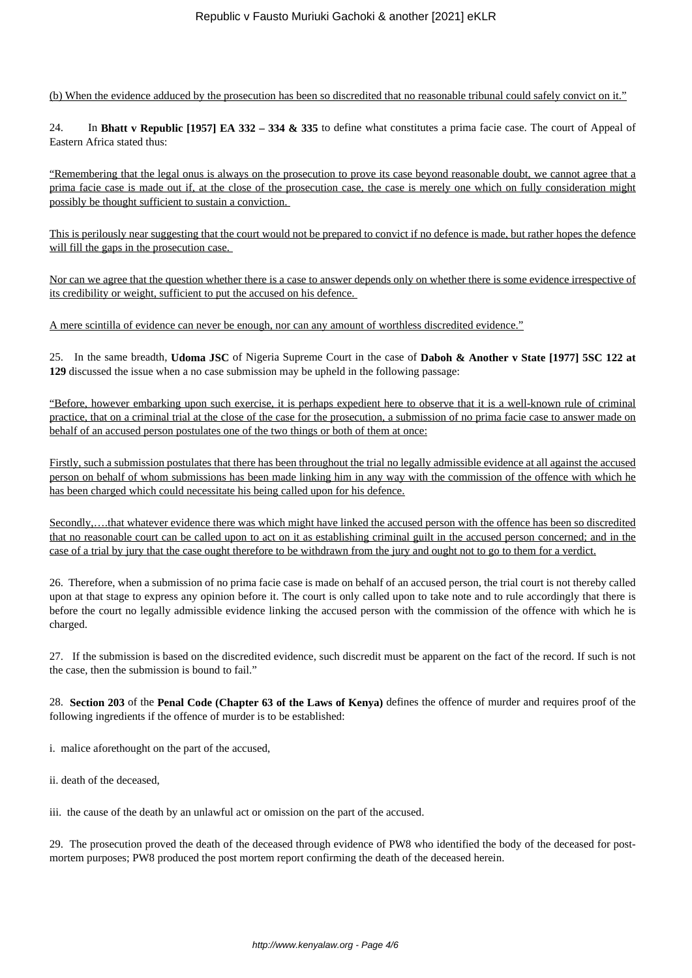(b) When the evidence adduced by the prosecution has been so discredited that no reasonable tribunal could safely convict on it."

24. In **Bhatt v Republic [1957] EA 332 – 334 & 335** to define what constitutes a prima facie case. The court of Appeal of Eastern Africa stated thus:

"Remembering that the legal onus is always on the prosecution to prove its case beyond reasonable doubt, we cannot agree that a prima facie case is made out if, at the close of the prosecution case, the case is merely one which on fully consideration might possibly be thought sufficient to sustain a conviction.

This is perilously near suggesting that the court would not be prepared to convict if no defence is made, but rather hopes the defence will fill the gaps in the prosecution case.

Nor can we agree that the question whether there is a case to answer depends only on whether there is some evidence irrespective of its credibility or weight, sufficient to put the accused on his defence.

A mere scintilla of evidence can never be enough, nor can any amount of worthless discredited evidence."

25. In the same breadth, **Udoma JSC** of Nigeria Supreme Court in the case of **Daboh & Another v State [1977] 5SC 122 at 129** discussed the issue when a no case submission may be upheld in the following passage:

"Before, however embarking upon such exercise, it is perhaps expedient here to observe that it is a well-known rule of criminal practice, that on a criminal trial at the close of the case for the prosecution, a submission of no prima facie case to answer made on behalf of an accused person postulates one of the two things or both of them at once:

Firstly, such a submission postulates that there has been throughout the trial no legally admissible evidence at all against the accused person on behalf of whom submissions has been made linking him in any way with the commission of the offence with which he has been charged which could necessitate his being called upon for his defence.

Secondly,….that whatever evidence there was which might have linked the accused person with the offence has been so discredited that no reasonable court can be called upon to act on it as establishing criminal guilt in the accused person concerned; and in the case of a trial by jury that the case ought therefore to be withdrawn from the jury and ought not to go to them for a verdict.

26. Therefore, when a submission of no prima facie case is made on behalf of an accused person, the trial court is not thereby called upon at that stage to express any opinion before it. The court is only called upon to take note and to rule accordingly that there is before the court no legally admissible evidence linking the accused person with the commission of the offence with which he is charged.

27. If the submission is based on the discredited evidence, such discredit must be apparent on the fact of the record. If such is not the case, then the submission is bound to fail."

28. **Section 203** of the **Penal Code (Chapter 63 of the Laws of Kenya)** defines the offence of murder and requires proof of the following ingredients if the offence of murder is to be established:

i. malice aforethought on the part of the accused,

ii. death of the deceased,

iii. the cause of the death by an unlawful act or omission on the part of the accused.

29. The prosecution proved the death of the deceased through evidence of PW8 who identified the body of the deceased for postmortem purposes; PW8 produced the post mortem report confirming the death of the deceased herein.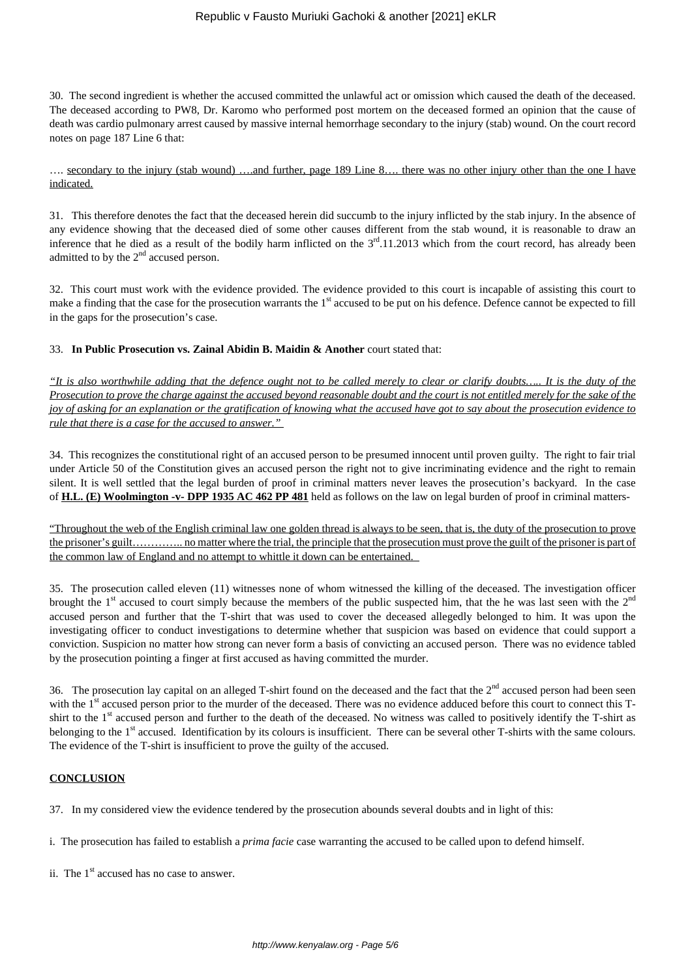30. The second ingredient is whether the accused committed the unlawful act or omission which caused the death of the deceased. The deceased according to PW8, Dr. Karomo who performed post mortem on the deceased formed an opinion that the cause of death was cardio pulmonary arrest caused by massive internal hemorrhage secondary to the injury (stab) wound. On the court record notes on page 187 Line 6 that:

…. secondary to the injury (stab wound) ….and further, page 189 Line 8…. there was no other injury other than the one I have indicated.

31. This therefore denotes the fact that the deceased herein did succumb to the injury inflicted by the stab injury. In the absence of any evidence showing that the deceased died of some other causes different from the stab wound, it is reasonable to draw an inference that he died as a result of the bodily harm inflicted on the  $3<sup>rd</sup>$ .11.2013 which from the court record, has already been admitted to by the  $2<sup>nd</sup>$  accused person.

32. This court must work with the evidence provided. The evidence provided to this court is incapable of assisting this court to make a finding that the case for the prosecution warrants the 1<sup>st</sup> accused to be put on his defence. Defence cannot be expected to fill in the gaps for the prosecution's case.

33. **In Public Prosecution vs. Zainal Abidin B. Maidin & Another** court stated that:

*"It is also worthwhile adding that the defence ought not to be called merely to clear or clarify doubts….. It is the duty of the Prosecution to prove the charge against the accused beyond reasonable doubt and the court is not entitled merely for the sake of the joy of asking for an explanation or the gratification of knowing what the accused have got to say about the prosecution evidence to rule that there is a case for the accused to answer."*

34. This recognizes the constitutional right of an accused person to be presumed innocent until proven guilty. The right to fair trial under Article 50 of the Constitution gives an accused person the right not to give incriminating evidence and the right to remain silent. It is well settled that the legal burden of proof in criminal matters never leaves the prosecution's backyard. In the case of **H.L. (E) Woolmington -v- DPP 1935 AC 462 PP 481** held as follows on the law on legal burden of proof in criminal matters-

"Throughout the web of the English criminal law one golden thread is always to be seen, that is, the duty of the prosecution to prove the prisoner's guilt………….. no matter where the trial, the principle that the prosecution must prove the guilt of the prisoner is part of the common law of England and no attempt to whittle it down can be entertained.

35. The prosecution called eleven (11) witnesses none of whom witnessed the killing of the deceased. The investigation officer brought the  $1<sup>st</sup>$  accused to court simply because the members of the public suspected him, that the he was last seen with the  $2<sup>nd</sup>$ accused person and further that the T-shirt that was used to cover the deceased allegedly belonged to him. It was upon the investigating officer to conduct investigations to determine whether that suspicion was based on evidence that could support a conviction. Suspicion no matter how strong can never form a basis of convicting an accused person. There was no evidence tabled by the prosecution pointing a finger at first accused as having committed the murder.

36. The prosecution lay capital on an alleged T-shirt found on the deceased and the fact that the  $2<sup>nd</sup>$  accused person had been seen with the 1<sup>st</sup> accused person prior to the murder of the deceased. There was no evidence adduced before this court to connect this Tshirt to the 1<sup>st</sup> accused person and further to the death of the deceased. No witness was called to positively identify the T-shirt as belonging to the 1<sup>st</sup> accused. Identification by its colours is insufficient. There can be several other T-shirts with the same colours. The evidence of the T-shirt is insufficient to prove the guilty of the accused.

# **CONCLUSION**

37. In my considered view the evidence tendered by the prosecution abounds several doubts and in light of this:

- i. The prosecution has failed to establish a *prima facie* case warranting the accused to be called upon to defend himself.
- ii. The  $1<sup>st</sup>$  accused has no case to answer.